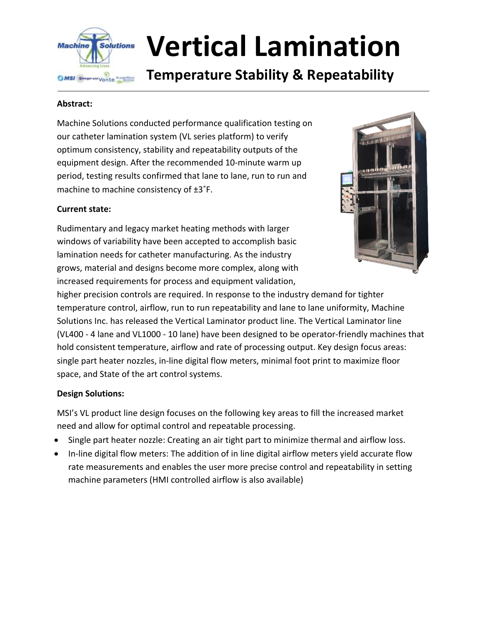

# **Vertical Lamination**

## **Temperature Stability & Repeatability**

#### **Abstract:**

Machine Solutions conducted performance qualification testing on our catheter lamination system (VL series platform) to verify optimum consistency, stability and repeatability outputs of the equipment design. After the recommended 10-minute warm up period, testing results confirmed that lane to lane, run to run and machine to machine consistency of ±3˚F.

#### **Current state:**

Rudimentary and legacy market heating methods with larger windows of variability have been accepted to accomplish basic lamination needs for catheter manufacturing. As the industry grows, material and designs become more complex, along with increased requirements for process and equipment validation,



higher precision controls are required. In response to the industry demand for tighter temperature control, airflow, run to run repeatability and lane to lane uniformity, Machine Solutions Inc. has released the Vertical Laminator product line. The Vertical Laminator line (VL400 - 4 lane and VL1000 - 10 lane) have been designed to be operator-friendly machines that hold consistent temperature, airflow and rate of processing output. Key design focus areas: single part heater nozzles, in-line digital flow meters, minimal foot print to maximize floor space, and State of the art control systems.

#### **Design Solutions:**

MSI's VL product line design focuses on the following key areas to fill the increased market need and allow for optimal control and repeatable processing.

- Single part heater nozzle: Creating an air tight part to minimize thermal and airflow loss.
- In-line digital flow meters: The addition of in line digital airflow meters yield accurate flow rate measurements and enables the user more precise control and repeatability in setting machine parameters (HMI controlled airflow is also available)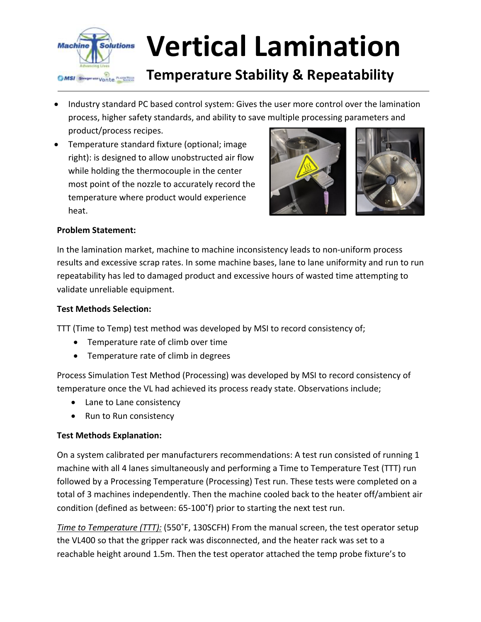

- Industry standard PC based control system: Gives the user more control over the lamination process, higher safety standards, and ability to save multiple processing parameters and product/process recipes.
- Temperature standard fixture (optional; image right): is designed to allow unobstructed air flow while holding the thermocouple in the center most point of the nozzle to accurately record the temperature where product would experience heat.



#### **Problem Statement:**

In the lamination market, machine to machine inconsistency leads to non-uniform process results and excessive scrap rates. In some machine bases, lane to lane uniformity and run to run repeatability has led to damaged product and excessive hours of wasted time attempting to validate unreliable equipment.

#### **Test Methods Selection:**

TTT (Time to Temp) test method was developed by MSI to record consistency of;

- Temperature rate of climb over time
- Temperature rate of climb in degrees

Process Simulation Test Method (Processing) was developed by MSI to record consistency of temperature once the VL had achieved its process ready state. Observations include;

- Lane to Lane consistency
- Run to Run consistency

#### **Test Methods Explanation:**

On a system calibrated per manufacturers recommendations: A test run consisted of running 1 machine with all 4 lanes simultaneously and performing a Time to Temperature Test (TTT) run followed by a Processing Temperature (Processing) Test run. These tests were completed on a total of 3 machines independently. Then the machine cooled back to the heater off/ambient air condition (defined as between: 65-100˚f) prior to starting the next test run.

*Time to Temperature (TTT):* (550˚F, 130SCFH) From the manual screen, the test operator setup the VL400 so that the gripper rack was disconnected, and the heater rack was set to a reachable height around 1.5m. Then the test operator attached the temp probe fixture's to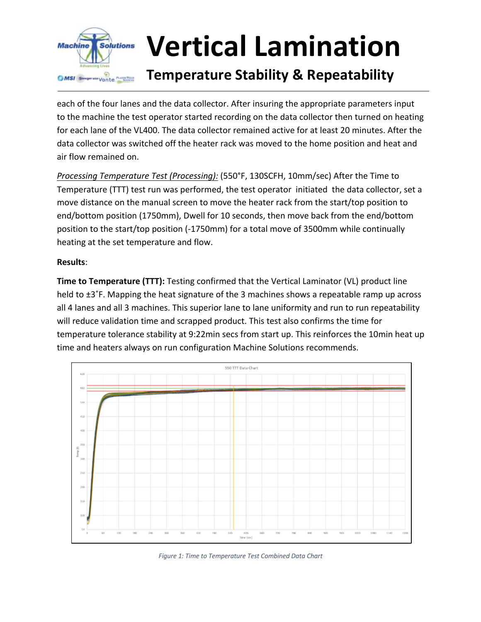

each of the four lanes and the data collector. After insuring the appropriate parameters input to the machine the test operator started recording on the data collector then turned on heating for each lane of the VL400. The data collector remained active for at least 20 minutes. After the data collector was switched off the heater rack was moved to the home position and heat and air flow remained on.

*Processing Temperature Test (Processing):* (550°F, 130SCFH, 10mm/sec) After the Time to Temperature (TTT) test run was performed, the test operator initiated the data collector, set a move distance on the manual screen to move the heater rack from the start/top position to end/bottom position (1750mm), Dwell for 10 seconds, then move back from the end/bottom position to the start/top position (-1750mm) for a total move of 3500mm while continually heating at the set temperature and flow.

#### **Results**:

**Time to Temperature (TTT):** Testing confirmed that the Vertical Laminator (VL) product line held to  $\pm 3$ °F. Mapping the heat signature of the 3 machines shows a repeatable ramp up across all 4 lanes and all 3 machines. This superior lane to lane uniformity and run to run repeatability will reduce validation time and scrapped product. This test also confirms the time for temperature tolerance stability at 9:22min secs from start up. This reinforces the 10min heat up time and heaters always on run configuration Machine Solutions recommends.



*Figure 1: Time to Temperature Test Combined Data Chart*